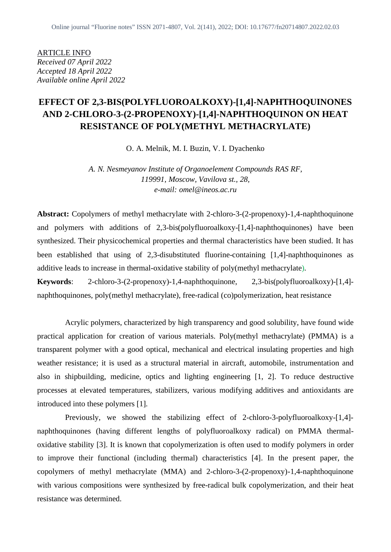ARTICLE INFO *Received 07 April 2022 Accepted 18 April 2022 Available online April 2022*

# **EFFECT OF 2,3-BIS(POLYFLUOROALKOXY)-[1,4]-NAPHTHOQUINONES AND 2-CHLORO-3-(2-PROPENOXY)-[1,4]-NAPHTHOQUINON ON HEAT RESISTANCE OF POLY(METHYL METHACRYLATE)**

O. A. Melnik, M. I. Buzin, V. I. Dyachenko

*A. N. Nesmeyanov Institute of Organoelement Compounds RAS RF, 119991, Moscow, Vavilova st., 28, e-mail: omel@ineos.ac.ru*

**Abstract:** Copolymers of methyl methacrylate with 2-chloro-3-(2-propenoxy)-1,4-naphthoquinone and polymers with additions of 2,3-bis(polyfluoroalkoxy-[1,4]-naphthoquinones) have been synthesized. Their physicochemical properties and thermal characteristics have been studied. It has been established that using of 2,3-disubstituted fluorine-containing [1,4]-naphthoquinones as additive leads to increase in thermal-oxidative stability of poly(methyl methacrylate).

**Keywords**: 2-chloro-3-(2-propenoxy)-1,4-naphthoquinone, 2,3-bis(polyfluoroalkoxy)-[1,4] naphthoquinones, poly(methyl methacrylate), free-radical (co)polymerization, heat resistance

Acrylic polymers, characterized by high transparency and good solubility, have found wide practical application for creation of various materials. Poly(methyl methacrylate) (PMMA) is a transparent polymer with a good optical, mechanical and electrical insulating properties and high weather resistance; it is used as a structural material in aircraft, automobile, instrumentation and also in shipbuilding, medicine, optics and lighting engineering [1, 2]. To reduce destructive processes at elevated temperatures, stabilizers, various modifying additives and antioxidants are introduced into these polymers [1].

Previously, we showed the stabilizing effect of 2-chloro-3-polyfluoroalkoxy-[1,4] naphthoquinones (having different lengths of polyfluoroalkoxy radical) on PMMA thermaloxidative stability [3]. It is known that copolymerization is often used to modify polymers in order to improve their functional (including thermal) characteristics [4]. In the present paper, the copolymers of methyl methacrylate (MMA) and 2-chloro-3-(2-propenoxy)-1,4-naphthoquinone with various compositions were synthesized by free-radical bulk copolymerization, and their heat resistance was determined.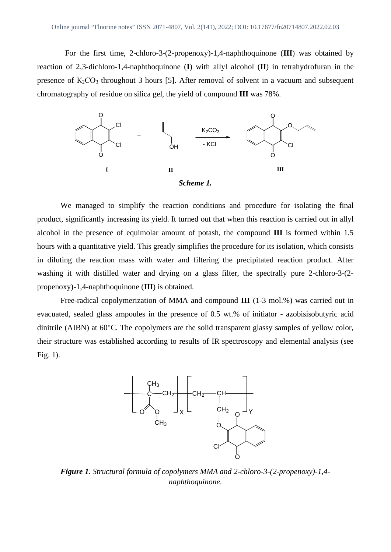For the first time, 2-chloro-3-(2-propenoxy)-1,4-naphthoquinone (**III**) was obtained by reaction of 2,3-dichloro-1,4-naphthoquinone (**I**) with allyl alcohol (**II**) in tetrahydrofuran in the presence of  $K_2CO_3$  throughout 3 hours [5]. After removal of solvent in a vacuum and subsequent chromatography of residue on silica gel, the yield of compound **III** was 78%.



We managed to simplify the reaction conditions and procedure for isolating the final product, significantly increasing its yield. It turned out that when this reaction is carried out in allyl alcohol in the presence of equimolar amount of potash, the compound **III** is formed within 1.5 hours with a quantitative yield. This greatly simplifies the procedure for its isolation, which consists in diluting the reaction mass with water and filtering the precipitated reaction product. After washing it with distilled water and drying on a glass filter, the spectrally pure 2-chloro-3-(2 propenoxy)-1,4-naphthoquinone (**III**) is obtained.

Free-radical copolymerization of MMA and compound **III** (1-3 mol.%) was carried out in evacuated, sealed glass ampoules in the presence of 0.5 wt.% of initiator - azobisisobutyric acid dinitrile (AIBN) at 60°C. The copolymers are the solid transparent glassy samples of yellow color, their structure was established according to results of IR spectroscopy and elemental analysis (see Fig. 1).



*Figure 1. Structural formula of copolymers MMA and 2-chloro-3-(2-propenoxy)-1,4 naphthoquinone.*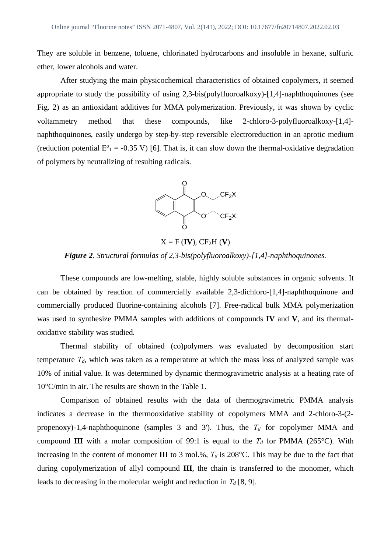They are soluble in benzene, toluene, chlorinated hydrocarbons and insoluble in hexane, sulfuric ether, lower alcohols and water.

After studying the main physicochemical characteristics of obtained copolymers, it seemed appropriate to study the possibility of using 2,3-bis(polyfluoroalkoxy)-[1,4]-naphthoquinones (see Fig. 2) as an antioxidant additives for MMA polymerization. Previously, it was shown by cyclic voltammetry method that these compounds, like 2-chloro-3-polyfluoroalkoxy-[1,4] naphthoquinones, easily undergo by step-by-step reversible electroreduction in an aprotic medium (reduction potential  $E^{\circ}$ <sub>1</sub> = -0.35 V) [6]. That is, it can slow down the thermal-oxidative degradation of polymers by neutralizing of resulting radicals.



 $X = F$  (**IV**),  $CF<sub>2</sub>H$  (**V**)

### *Figure 2. Structural formulas of 2,3-bis(polyfluoroalkoxy)-[1,4]-naphthoquinones.*

These compounds are low-melting, stable, highly soluble substances in organic solvents. It can be obtained by reaction of commercially available 2,3-dichloro-[1,4]-naphthoquinone and commercially produced fluorine-containing alcohols [7]. Free-radical bulk MMA polymerization was used to synthesize PMMA samples with additions of compounds **IV** and **V**, and its thermaloxidative stability was studied.

Thermal stability of obtained (co)polymers was evaluated by decomposition start temperature  $T_d$ , which was taken as a temperature at which the mass loss of analyzed sample was 10% of initial value. It was determined by dynamic thermogravimetric analysis at a heating rate of 10°C/min in air. The results are shown in the Table 1.

Comparison of obtained results with the data of thermogravimetric PMMA analysis indicates a decrease in the thermooxidative stability of copolymers MMA and 2-chloro-3-(2 propenoxy)-1,4-naphthoquinone (samples 3 and 3'). Thus, the  $T_d$  for copolymer MMA and compound **III** with a molar composition of 99:1 is equal to the  $T_d$  for PMMA (265°C). With increasing in the content of monomer **III** to 3 mol.%, *Тd* is 208°C. This may be due to the fact that during copolymerization of allyl compound **III**, the chain is transferred to the monomer, which leads to decreasing in the molecular weight and reduction in *Тd* [8, 9].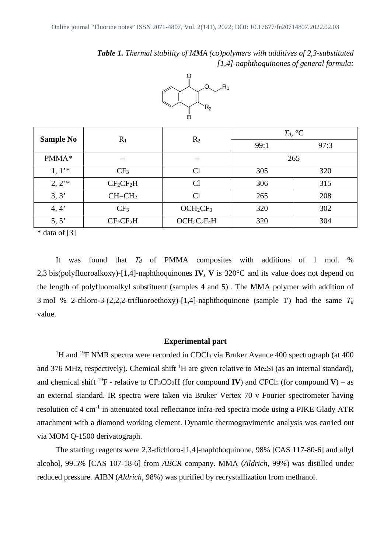*Table 1. Thermal stability of MMA (co)polymers with additives of 2,3-substituted [1,4]-naphthoquinones of general formula:*



| <b>Sample No</b> | $R_1$           | R <sub>2</sub>                   | $T_d$ , ${}^{\circ}C$ |      |
|------------------|-----------------|----------------------------------|-----------------------|------|
|                  |                 |                                  | 99:1                  | 97:3 |
| PMMA*            |                 |                                  | 265                   |      |
| 1, 1'            | CF <sub>3</sub> | Cl                               | 305                   | 320  |
| 2, 2'            | $CF_2CF_2H$     | Cl                               | 306                   | 315  |
| 3, 3'            | $CH=CH2$        | Cl                               | 265                   | 208  |
| 4, 4'            | CF <sub>3</sub> | OCH <sub>2</sub> CF <sub>3</sub> | 320                   | 302  |
| 5, 5'            | $CF_2CF_2H$     | $OCH2C2F4H$                      | 320                   | 304  |

 $*$  data of [3]

It was found that *Тd* of PMMA composites with additions of 1 mol. % 2,3 bis(polyfluoroalkoxy)-[1,4]-naphthoquinones **IV, V** is 320°C and its value does not depend on the length of polyfluoroalkyl substituent (samples 4 and 5) . The MMA polymer with addition of 3 mol % 2-chloro-3-(2,2,2-trifluoroethoxy)-[1,4]-naphthoquinone (sample 1') had the same *Т<sup>d</sup>* value.

### **Experimental part**

<sup>1</sup>H and <sup>19</sup>F NMR spectra were recorded in CDCl<sub>3</sub> via Bruker Avance 400 spectrograph (at 400) and 376 MHz, respectively). Chemical shift  ${}^{1}H$  are given relative to Me<sub>4</sub>Si (as an internal standard), and chemical shift <sup>19</sup>F - relative to  $CF_3CO_2H$  (for compound **IV**) and CFCl<sub>3</sub> (for compound **V**) – as an external standard. IR spectra were taken via Bruker Vertex 70 v Fourier spectrometer having resolution of 4 cm<sup>-1</sup> in attenuated total reflectance infra-red spectra mode using a PIKE Glady ATR attachment with a diamond working element. Dynamic thermogravimetric analysis was carried out via MOM Q-1500 derivatograph.

The starting reagents were 2,3-dichloro-[1,4]-naphthoquinone, 98% [CAS 117-80-6] and allyl alcohol, 99.5% [CAS 107-18-6] from *ABCR* company. MMA (*Aldrich*, 99%) was distilled under reduced pressure. AIBN (*Aldrich*, 98%) was purified by recrystallization from methanol.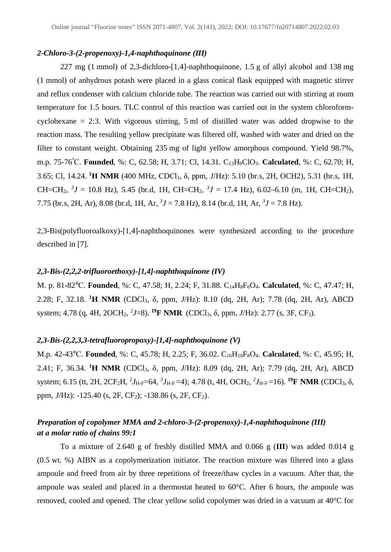### *2-Chloro-3-(2-propenoxy)-1,4-naphthoquinone (III)*

227 mg (1 mmol) of 2,3-dichloro-[1,4]-naphthoquinone, 1.5 g of allyl alcohol and 138 mg (1 mmol) of anhydrous potash were placed in a glass conical flask equipped with magnetic stirrer and reflux condenser with calcium chloride tube. The reaction was carried out with stirring at room temperature for 1.5 hours. TLC control of this reaction was carried out in the system chloroformcyclohexane = 2:3. With vigorous stirring, 5 ml of distilled water was added dropwise to the reaction mass. The resulting yellow precipitate was filtered off, washed with water and dried on the filter to constant weight. Obtaining 235 mg of light yellow amorphous compound. Yield 98.7%, m.p. 75-76°С. **Founded**, %: C, 62.58; H, 3.71; Cl, 14.31. C13H9ClO3. **Calculated**, %: C, 62.70; H, 3.65; Cl, 14.24. **<sup>1</sup>Н NMR** (400 MHz, СDСl3, δ, ppm, *J*/Hz): 5.10 (br.s, 2H, OCH2), 5.31 (br.s, 1H, CH=CH<sub>2</sub>,  ${}^{3}J = 10.8$  Hz), 5.45 (br.d, 1H, CH=CH<sub>2</sub>,  ${}^{3}J = 17.4$  Hz), 6.02–6.10 (m, 1H, CH=CH<sub>2</sub>), 7.75 (br.s, 2H, Ar), 8.08 (br.d, 1H, Ar,  ${}^{3}J = 7.8$  Hz), 8.14 (br.d, 1H, Ar,  ${}^{3}J = 7.8$  Hz).

2,3-Bis(polyfluoroalkoxy)-[1,4]-naphthoquinones were synthesized according to the procedure described in [7].

#### *2,3-Bis-(2,2,2-trifluoroethoxy)-[1,4]-naphthoquinone (IV)*

M. p. 81-82°С. **Founded**, %: C, 47.58; H, 2.24; F, 31.88. C14H8F6O4. **Calculated**, %: C, 47.47; H, 2.28; F, 32.18. **<sup>1</sup>H NMR** (CDCl3, δ, ppm, *J*/Hz): 8.10 (dq, 2H, Ar); 7.78 (dq, 2H, Ar), ABCD system; 4.78 (q, 4H, 2OCH<sub>2</sub>, <sup>2</sup>J=8). <sup>19</sup>**F NMR** (CDCl<sub>3</sub>, δ, ppm, J/Hz): 2.77 (s, 3F, CF<sub>3</sub>).

### *2,3-Bis-(2,2,3,3-tetrafluoropropoxy)-[1,4]-naphthoquinone (V)*

M.p. 42-43°С. **Founded**, %: C, 45.78; H, 2.25; F, 36.02. C16H10F8O4. **Calculated**, %: С, 45.95; H, 2.41; F, 36.34. **<sup>1</sup>H NMR** (CDCl3, δ, ppm, *J*/Hz): 8.09 (dq, 2H, Ar); 7.79 (dq, 2H, Ar), ABCD system; 6.15 (tt, 2H, 2CF<sub>2</sub>H, <sup>2</sup>J<sub>H-F</sub>=64, <sup>3</sup>J<sub>H-F</sub>=4); 4.78 (t, 4H, OCH<sub>2</sub>, <sup>2</sup>J<sub>H-F</sub>=16). <sup>19</sup>**F NMR** (CDCl<sub>3</sub>,  $\delta$ , ppm, *J*/Hz): -125.40 (s, 2F, CF<sub>2</sub>); -138.86 (s, 2F, CF<sub>2</sub>).

## *Preparation of copolymer MMA and 2-chloro-3-(2-propenoxy)-1,4-naphthoquinone (III) at a molar ratio of chains 99:1*

To a mixture of 2.640 g of freshly distilled MMA and 0.066 g (**III**) was added 0.014 g (0.5 wt. %) AIBN as a copolymerization initiator. The reaction mixture was filtered into a glass ampoule and freed from air by three repetitions of freeze/thaw cycles in a vacuum. After that, the ampoule was sealed and placed in a thermostat heated to 60°C. After 6 hours, the ampoule was removed, cooled and opened. The clear yellow solid copolymer was dried in a vacuum at 40°C for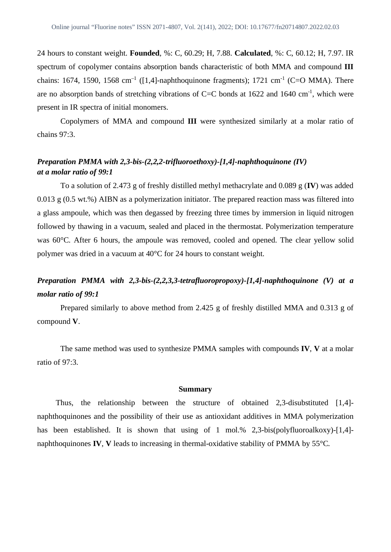24 hours to constant weight. **Founded**, %: C, 60.29; H, 7.88. **Calculated**, %: C, 60.12; H, 7.97. IR spectrum of copolymer contains absorption bands characteristic of both MMA and compound **III** chains: 1674, 1590, 1568 cm<sup>-1</sup> ([1,4]-naphthoquinone fragments); 1721 cm<sup>-1</sup> (C=O MMA). There are no absorption bands of stretching vibrations of  $C=C$  bonds at 1622 and 1640 cm<sup>-1</sup>, which were present in IR spectra of initial monomers.

Copolymers of MMA and compound **III** were synthesized similarly at a molar ratio of chains 97:3.

## *Preparation PMMA with 2,3-bis-(2,2,2-trifluoroethoxy)-[1,4]-naphthoquinone (IV) at a molar ratio of 99:1*

To a solution of 2.473 g of freshly distilled methyl methacrylate and 0.089 g (**IV**) was added 0.013 g (0.5 wt.%) AIBN as a polymerization initiator. The prepared reaction mass was filtered into a glass ampoule, which was then degassed by freezing three times by immersion in liquid nitrogen followed by thawing in a vacuum, sealed and placed in the thermostat. Polymerization temperature was 60°C. After 6 hours, the ampoule was removed, cooled and opened. The clear yellow solid polymer was dried in a vacuum at 40°C for 24 hours to constant weight.

# *Preparation PMMA with 2,3-bis-(2,2,3,3-tetrafluoropropoxy)-[1,4]-naphthoquinone (V) at a molar ratio of 99:1*

Prepared similarly to above method from 2.425 g of freshly distilled MMA and 0.313 g of compound **V**.

The same method was used to synthesize PMMA samples with compounds **IV**, **V** at a molar ratio of 97:3.

#### **Summary**

Thus, the relationship between the structure of obtained 2,3-disubstituted [1,4] naphthoquinones and the possibility of their use as antioxidant additives in MMA polymerization has been established. It is shown that using of 1 mol.% 2,3-bis(polyfluoroalkoxy)-[1,4]naphthoquinones **IV**, **V** leads to increasing in thermal-oxidative stability of PMMA by 55°C.